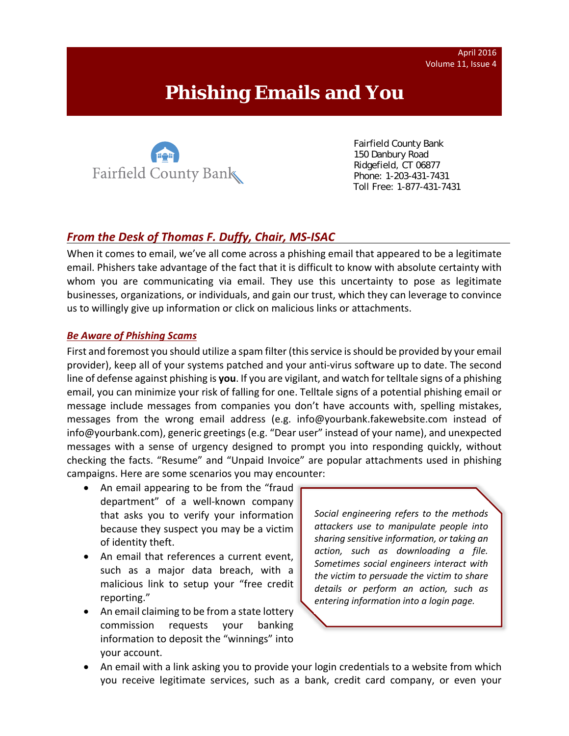# **Phishing Emails and You**



 Fairfield County Bank 150 Danbury Road Ridgefield, CT 06877 Phone: 1-203-431-7431 Toll Free: 1-877-431-7431

## *From the Desk of Thomas F. Duffy, Chair, MS‐ISAC*

When it comes to email, we've all come across a phishing email that appeared to be a legitimate email. Phishers take advantage of the fact that it is difficult to know with absolute certainty with whom you are communicating via email. They use this uncertainty to pose as legitimate businesses, organizations, or individuals, and gain our trust, which they can leverage to convince us to willingly give up information or click on malicious links or attachments.

#### *Be Aware of Phishing Scams*

First and foremost you should utilize a spam filter (thisservice isshould be provided by your email provider), keep all of your systems patched and your anti‐virus software up to date. The second line of defense against phishing is **you**. If you are vigilant, and watch for telltale signs of a phishing email, you can minimize your risk of falling for one. Telltale signs of a potential phishing email or message include messages from companies you don't have accounts with, spelling mistakes, messages from the wrong email address (e.g. info@yourbank.fakewebsite.com instead of info@yourbank.com), generic greetings (e.g. "Dear user" instead of your name), and unexpected messages with a sense of urgency designed to prompt you into responding quickly, without checking the facts. "Resume" and "Unpaid Invoice" are popular attachments used in phishing campaigns. Here are some scenarios you may encounter:

- An email appearing to be from the "fraud department" of a well-known company that asks you to verify your information because they suspect you may be a victim of identity theft.
- An email that references a current event, such as a major data breach, with a malicious link to setup your "free credit reporting."
- An email claiming to be from a state lottery commission requests your banking information to deposit the "winnings" into your account.

*Social engineering refers to the methods attackers use to manipulate people into sharing sensitive information, or taking an action, such as downloading a file. Sometimes social engineers interact with the victim to persuade the victim to share details or perform an action, such as entering information into a login page.*

 An email with a link asking you to provide your login credentials to a website from which you receive legitimate services, such as a bank, credit card company, or even your